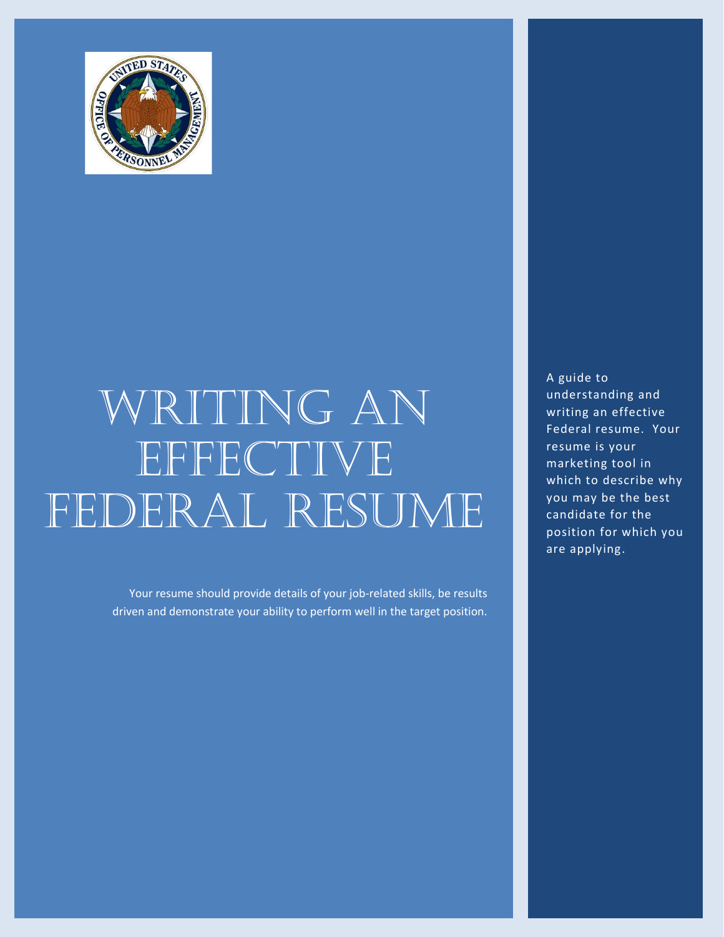

# WRITING AN EFFECTIVE FEDERAL RESUME

Your resume should provide details of your job-related skills, be results driven and demonstrate your ability to perform well in the target position. A guide to understanding and writing an effective Federal resume. Your resume is your marketing tool in which to describe why you may be the best candidate for the position for which you are applying.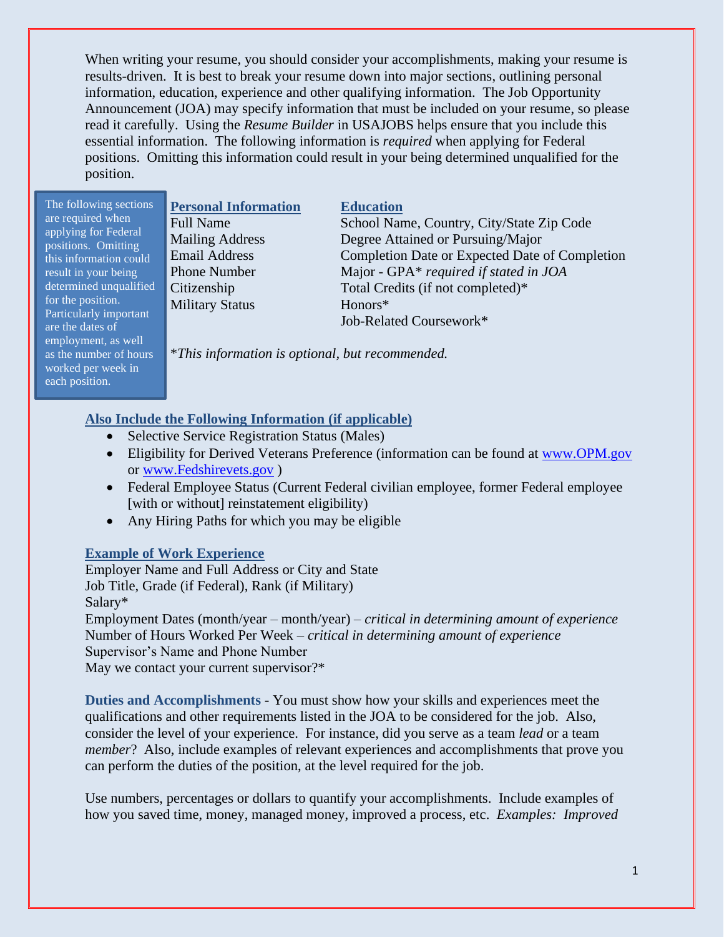When writing your resume, you should consider your accomplishments, making your resume is results-driven. It is best to break your resume down into major sections, outlining personal information, education, experience and other qualifying information. The Job Opportunity Announcement (JOA) may specify information that must be included on your resume, so please read it carefully. Using the *Resume Builder* in USAJOBS helps ensure that you include this essential information. The following information is *required* when applying for Federal positions. Omitting this information could result in your being determined unqualified for the position.

The following sections are required when applying for Federal positions. Omitting this information could result in your being determined unqualified for the position. Particularly important are the dates of employment, as well as the number of hours worked per week in each position.

Military Status Honors\*

#### **Personal Information Education**

Full Name School Name, Country, City/State Zip Code Mailing Address Degree Attained or Pursuing/Major Email Address Completion Date or Expected Date of Completion Phone Number Major - GPA\* *required if stated in JOA* Citizenship Total Credits (if not completed)\* Job-Related Coursework\*

\**This information is optional, but recommended.*

#### **Also Include the Following Information (if applicable)**

- Selective Service Registration Status (Males)
- Eligibility for Derived Veterans Preference (information can be found at [www.OPM.gov](http://www.opm.gov/) or [www.Fedshirevets.gov](http://www.fedshirevets.gov/) )
- Federal Employee Status (Current Federal civilian employee, former Federal employee [with or without] reinstatement eligibility)
- Any Hiring Paths for which you may be eligible

#### **Example of Work Experience**

Employer Name and Full Address or City and State Job Title, Grade (if Federal), Rank (if Military) Salary\*

Employment Dates (month/year – month/year) – *critical in determining amount of experience* Number of Hours Worked Per Week – *critical in determining amount of experience* Supervisor's Name and Phone Number May we contact your current supervisor?\*

**Duties and Accomplishments** - You must show how your skills and experiences meet the qualifications and other requirements listed in the JOA to be considered for the job. Also, consider the level of your experience. For instance, did you serve as a team *lead* or a team *member*? Also, include examples of relevant experiences and accomplishments that prove you can perform the duties of the position, at the level required for the job.

Use numbers, percentages or dollars to quantify your accomplishments. Include examples of how you saved time, money, managed money, improved a process, etc. *Examples: Improved*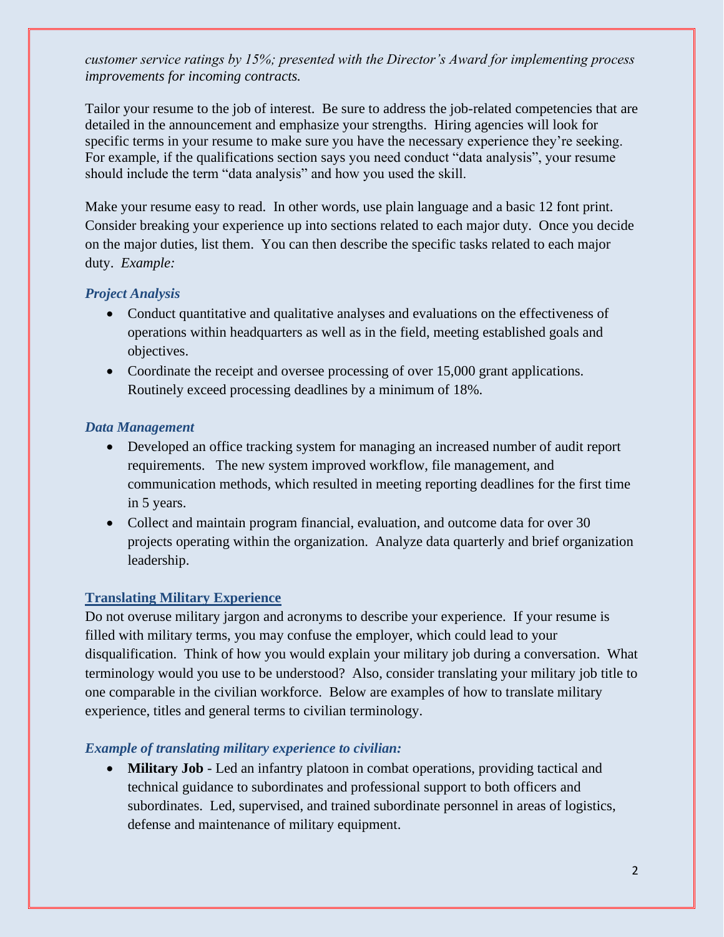*customer service ratings by 15%; presented with the Director's Award for implementing process improvements for incoming contracts.*

Tailor your resume to the job of interest. Be sure to address the job-related competencies that are detailed in the announcement and emphasize your strengths. Hiring agencies will look for specific terms in your resume to make sure you have the necessary experience they're seeking. For example, if the qualifications section says you need conduct "data analysis", your resume should include the term "data analysis" and how you used the skill.

Make your resume easy to read. In other words, use plain language and a basic 12 font print. Consider breaking your experience up into sections related to each major duty. Once you decide on the major duties, list them. You can then describe the specific tasks related to each major duty. *Example:*

#### *Project Analysis*

- Conduct quantitative and qualitative analyses and evaluations on the effectiveness of operations within headquarters as well as in the field, meeting established goals and objectives.
- Coordinate the receipt and oversee processing of over 15,000 grant applications. Routinely exceed processing deadlines by a minimum of 18%.

#### *Data Management*

- Developed an office tracking system for managing an increased number of audit report requirements. The new system improved workflow, file management, and communication methods, which resulted in meeting reporting deadlines for the first time in 5 years.
- Collect and maintain program financial, evaluation, and outcome data for over 30 projects operating within the organization. Analyze data quarterly and brief organization leadership.

#### **Translating Military Experience**

Do not overuse military jargon and acronyms to describe your experience. If your resume is filled with military terms, you may confuse the employer, which could lead to your disqualification. Think of how you would explain your military job during a conversation. What terminology would you use to be understood? Also, consider translating your military job title to one comparable in the civilian workforce. Below are examples of how to translate military experience, titles and general terms to civilian terminology.

#### *Example of translating military experience to civilian:*

• **Military Job** - Led an infantry platoon in combat operations, providing tactical and technical guidance to subordinates and professional support to both officers and subordinates. Led, supervised, and trained subordinate personnel in areas of logistics, defense and maintenance of military equipment.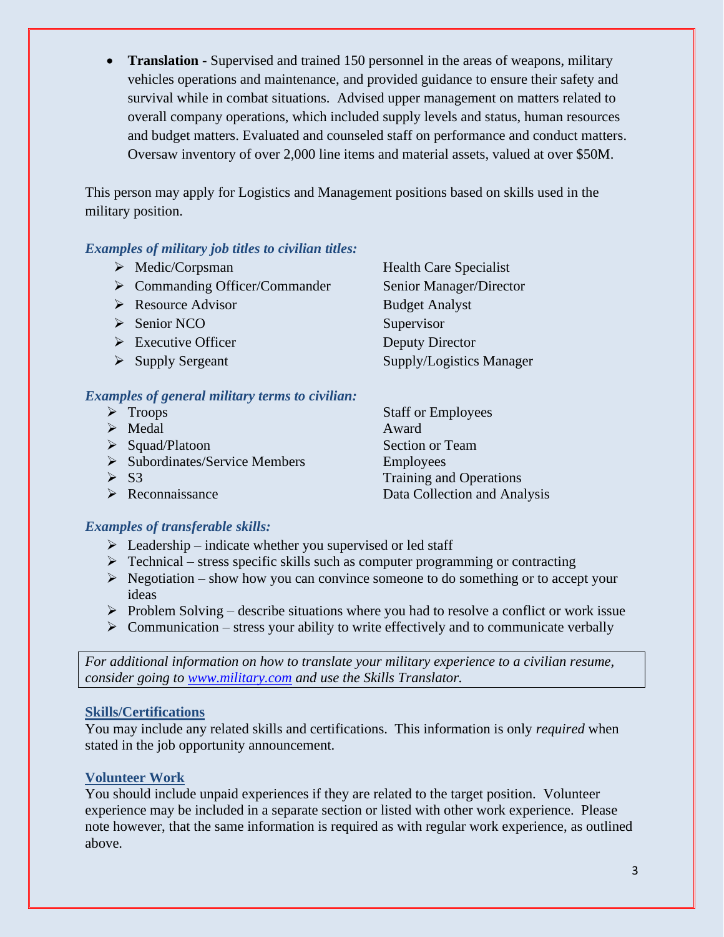• **Translation** - Supervised and trained 150 personnel in the areas of weapons, military vehicles operations and maintenance, and provided guidance to ensure their safety and survival while in combat situations. Advised upper management on matters related to overall company operations, which included supply levels and status, human resources and budget matters. Evaluated and counseled staff on performance and conduct matters. Oversaw inventory of over 2,000 line items and material assets, valued at over \$50M.

This person may apply for Logistics and Management positions based on skills used in the military position.

#### *Examples of military job titles to civilian titles:*

- ➢ Medic/Corpsman Health Care Specialist
- ➢ Commanding Officer/Commander Senior Manager/Director
- ➢ Resource Advisor Budget Analyst
- ➢ Senior NCO Supervisor
- ➢ Executive Officer Deputy Director
- 

#### *Examples of general military terms to civilian:*

➢ Troops Staff or Employees ➢ Medal Award ➢ Squad/Platoon Section or Team ➢ Subordinates/Service Members Employees ➢ S3 Training and Operations ➢ Reconnaissance Data Collection and Analysis

### *Examples of transferable skills:*

- $\triangleright$  Leadership indicate whether you supervised or led staff
- $\triangleright$  Technical stress specific skills such as computer programming or contracting
- $\triangleright$  Negotiation show how you can convince someone to do something or to accept your ideas
- $\triangleright$  Problem Solving describe situations where you had to resolve a conflict or work issue
- $\triangleright$  Communication stress your ability to write effectively and to communicate verbally

*For additional information on how to translate your military experience to a civilian resume, consider going to [www.military.com](http://www.military.com/) and use the Skills Translator.* 

#### **Skills/Certifications**

You may include any related skills and certifications. This information is only *required* when stated in the job opportunity announcement.

### **Volunteer Work**

You should include unpaid experiences if they are related to the target position. Volunteer experience may be included in a separate section or listed with other work experience. Please note however, that the same information is required as with regular work experience, as outlined above.

➢ Supply Sergeant Supply/Logistics Manager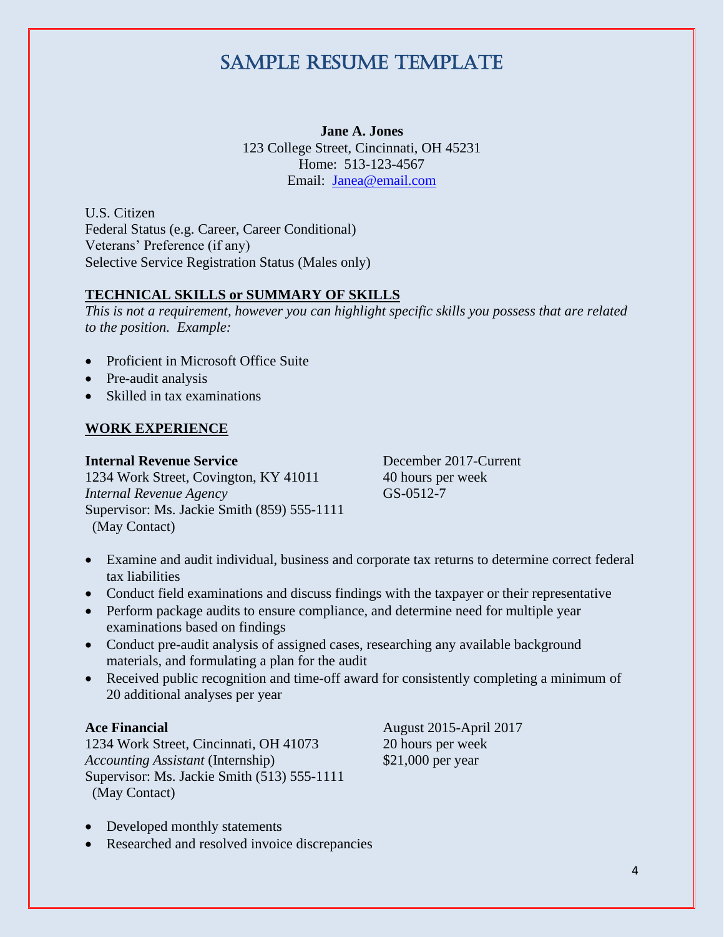## Sample Resume Template

**Jane A. Jones** 123 College Street, Cincinnati, OH 45231 Home: 513-123-4567 Email: [Janea@email.com](mailto:Janea@email.com)

U.S. Citizen Federal Status (e.g. Career, Career Conditional) Veterans' Preference (if any) Selective Service Registration Status (Males only)

#### **TECHNICAL SKILLS or SUMMARY OF SKILLS**

*This is not a requirement, however you can highlight specific skills you possess that are related to the position. Example:*

- Proficient in Microsoft Office Suite
- Pre-audit analysis
- Skilled in tax examinations

#### **WORK EXPERIENCE**

**Internal Revenue Service December 2017-Current** 1234 Work Street, Covington, KY 41011 40 hours per week *Internal Revenue Agency* GS-0512-7 Supervisor: Ms. Jackie Smith (859) 555-1111 (May Contact)

- Examine and audit individual, business and corporate tax returns to determine correct federal tax liabilities
- Conduct field examinations and discuss findings with the taxpayer or their representative
- Perform package audits to ensure compliance, and determine need for multiple year examinations based on findings
- Conduct pre-audit analysis of assigned cases, researching any available background materials, and formulating a plan for the audit
- Received public recognition and time-off award for consistently completing a minimum of 20 additional analyses per year

1234 Work Street, Cincinnati, OH 41073 20 hours per week *Accounting Assistant* (Internship) \$21,000 per year Supervisor: Ms. Jackie Smith (513) 555-1111 (May Contact)

**Ace Financial** August 2015-April 2017

- Developed monthly statements
- Researched and resolved invoice discrepancies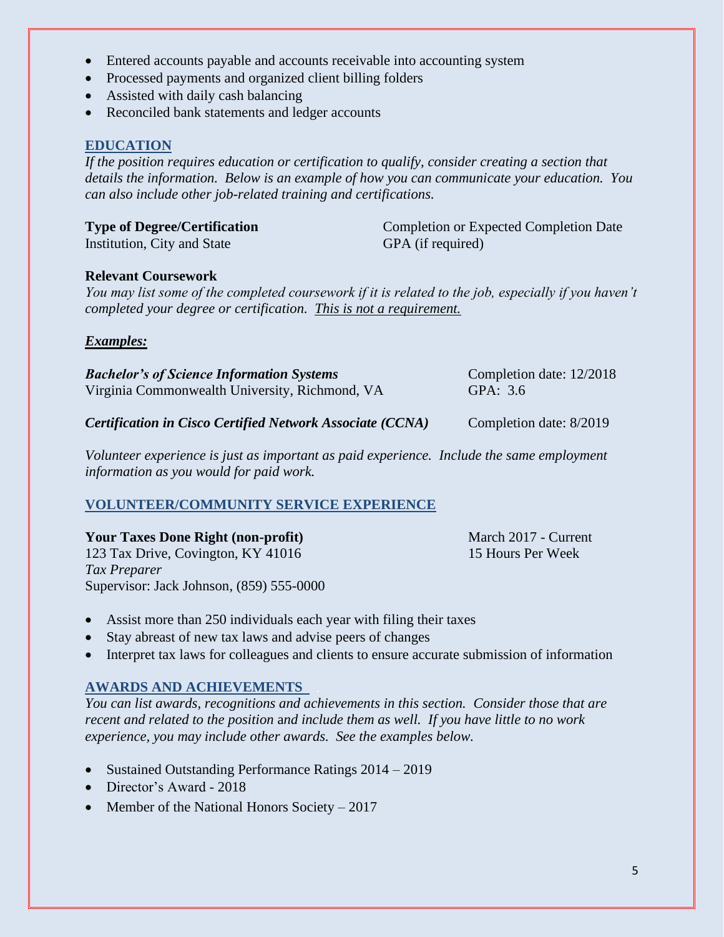- Entered accounts payable and accounts receivable into accounting system
- Processed payments and organized client billing folders
- Assisted with daily cash balancing
- Reconciled bank statements and ledger accounts

#### **EDUCATION**

*If the position requires education or certification to qualify, consider creating a section that details the information. Below is an example of how you can communicate your education. You can also include other job-related training and certifications.* 

| <b>Type of Degree/Certification</b> | <b>Completion or Expected Completion Date</b> |
|-------------------------------------|-----------------------------------------------|
| Institution, City and State         | GPA (if required)                             |

#### **Relevant Coursework**

*You may list some of the completed coursework if it is related to the job, especially if you haven't completed your degree or certification. This is not a requirement.*

#### *Examples:*

| <b>Bachelor's of Science Information Systems</b> | Completion date: 12/2018 |
|--------------------------------------------------|--------------------------|
| Virginia Commonwealth University, Richmond, VA   | GPA: 3.6                 |
|                                                  |                          |

*Certification in Cisco Certified Network Associate (CCNA)* Completion date: 8/2019

*Volunteer experience is just as important as paid experience. Include the same employment information as you would for paid work.*

#### **VOLUNTEER/COMMUNITY SERVICE EXPERIENCE**

| <b>Your Taxes Done Right (non-profit)</b> | March 2017 - Current |
|-------------------------------------------|----------------------|
| 123 Tax Drive, Covington, KY 41016        | 15 Hours Per Week    |
| Tax Preparer                              |                      |
| Supervisor: Jack Johnson, (859) 555-0000  |                      |

- Assist more than 250 individuals each year with filing their taxes
- Stay abreast of new tax laws and advise peers of changes
- Interpret tax laws for colleagues and clients to ensure accurate submission of information

#### **AWARDS AND ACHIEVEMENTS**

*You can list awards, recognitions and achievements in this section. Consider those that are recent and related to the position* a*nd include them as well. If you have little to no work experience, you may include other awards. See the examples below.*

- Sustained Outstanding Performance Ratings 2014 2019
- Director's Award 2018
- Member of the National Honors Society  $-2017$